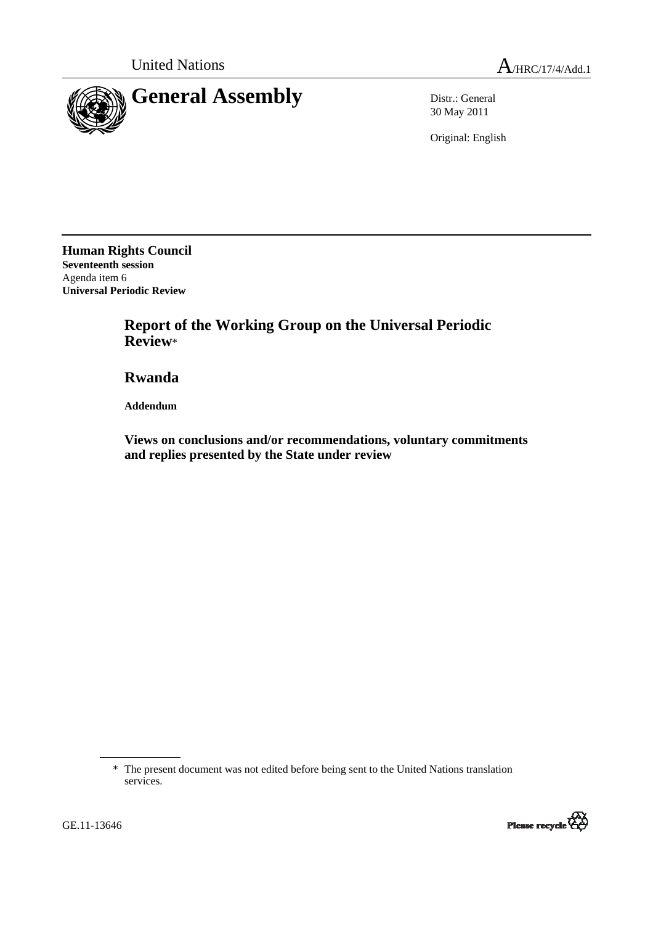

30 May 2011

Original: English

**Human Rights Council Seventeenth session**  Agenda item 6 **Universal Periodic Review** 

> **Report of the Working Group on the Universal Periodic Review**\*

 **Rwanda** 

 **Addendum** 

 **Views on conclusions and/or recommendations, voluntary commitments and replies presented by the State under review** 

<sup>\*</sup> The present document was not edited before being sent to the United Nations translation services.



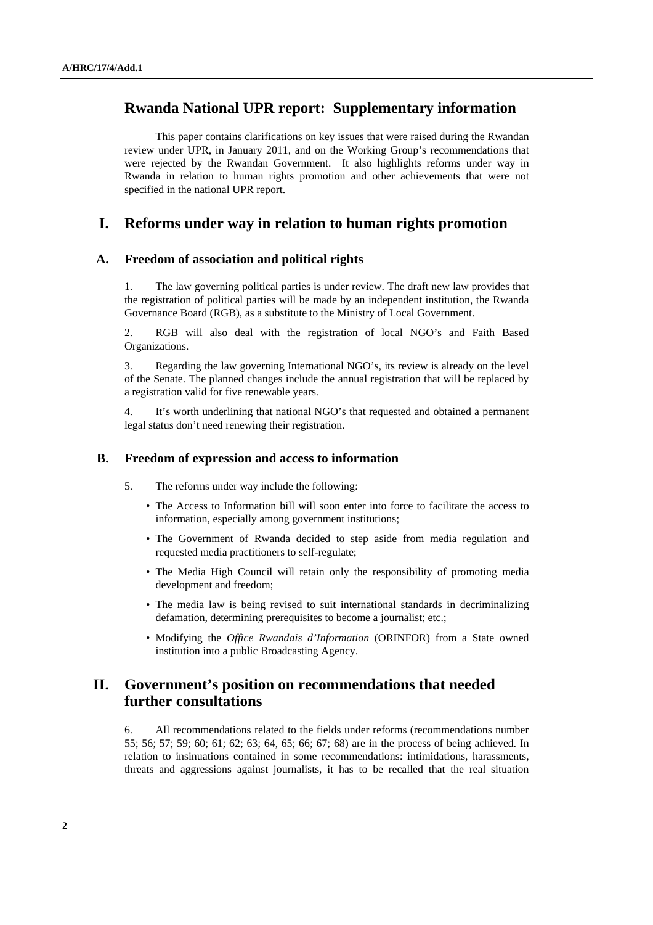# **Rwanda National UPR report: Supplementary information**

 This paper contains clarifications on key issues that were raised during the Rwandan review under UPR, in January 2011, and on the Working Group's recommendations that were rejected by the Rwandan Government. It also highlights reforms under way in Rwanda in relation to human rights promotion and other achievements that were not specified in the national UPR report.

## **I. Reforms under way in relation to human rights promotion**

### **A. Freedom of association and political rights**

1. The law governing political parties is under review. The draft new law provides that the registration of political parties will be made by an independent institution, the Rwanda Governance Board (RGB), as a substitute to the Ministry of Local Government.

2. RGB will also deal with the registration of local NGO's and Faith Based Organizations.

3. Regarding the law governing International NGO's, its review is already on the level of the Senate. The planned changes include the annual registration that will be replaced by a registration valid for five renewable years.

4. It's worth underlining that national NGO's that requested and obtained a permanent legal status don't need renewing their registration.

#### **B. Freedom of expression and access to information**

- 5. The reforms under way include the following:
	- The Access to Information bill will soon enter into force to facilitate the access to information, especially among government institutions;
	- The Government of Rwanda decided to step aside from media regulation and requested media practitioners to self-regulate;
	- The Media High Council will retain only the responsibility of promoting media development and freedom;
	- The media law is being revised to suit international standards in decriminalizing defamation, determining prerequisites to become a journalist; etc.;
	- Modifying the *Office Rwandais d'Information* (ORINFOR) from a State owned institution into a public Broadcasting Agency.

# **II. Government's position on recommendations that needed further consultations**

6. All recommendations related to the fields under reforms (recommendations number 55; 56; 57; 59; 60; 61; 62; 63; 64, 65; 66; 67; 68) are in the process of being achieved. In relation to insinuations contained in some recommendations: intimidations, harassments, threats and aggressions against journalists, it has to be recalled that the real situation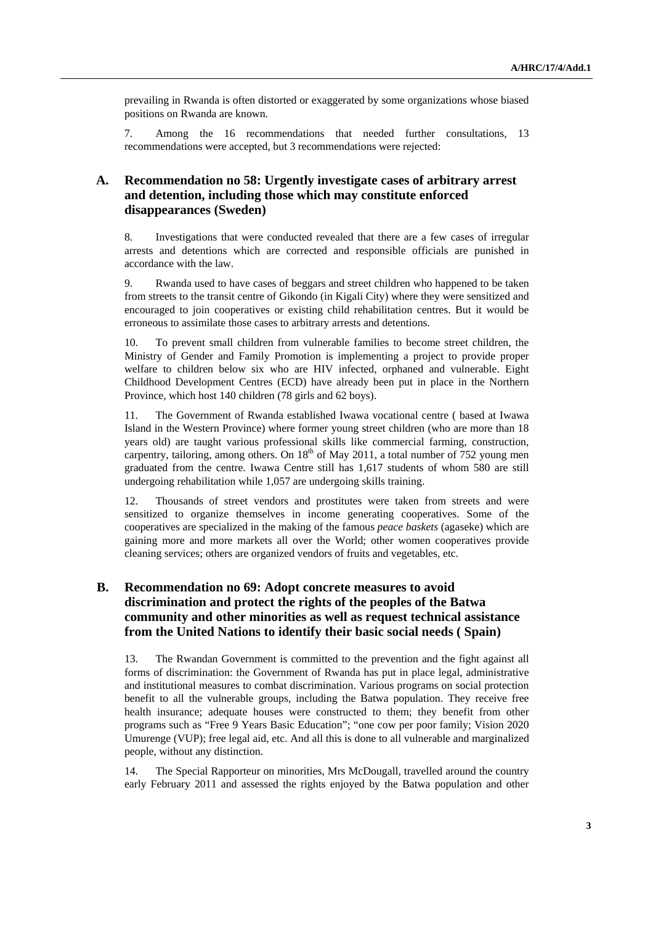prevailing in Rwanda is often distorted or exaggerated by some organizations whose biased positions on Rwanda are known.

7. Among the 16 recommendations that needed further consultations, 13 recommendations were accepted, but 3 recommendations were rejected:

## **A. Recommendation no 58: Urgently investigate cases of arbitrary arrest and detention, including those which may constitute enforced disappearances (Sweden)**

8. Investigations that were conducted revealed that there are a few cases of irregular arrests and detentions which are corrected and responsible officials are punished in accordance with the law.

9. Rwanda used to have cases of beggars and street children who happened to be taken from streets to the transit centre of Gikondo (in Kigali City) where they were sensitized and encouraged to join cooperatives or existing child rehabilitation centres. But it would be erroneous to assimilate those cases to arbitrary arrests and detentions.

10. To prevent small children from vulnerable families to become street children, the Ministry of Gender and Family Promotion is implementing a project to provide proper welfare to children below six who are HIV infected, orphaned and vulnerable. Eight Childhood Development Centres (ECD) have already been put in place in the Northern Province, which host 140 children (78 girls and 62 boys).

11. The Government of Rwanda established Iwawa vocational centre ( based at Iwawa Island in the Western Province) where former young street children (who are more than 18 years old) are taught various professional skills like commercial farming, construction, carpentry, tailoring, among others. On  $18<sup>th</sup>$  of May 2011, a total number of 752 young men graduated from the centre. Iwawa Centre still has 1,617 students of whom 580 are still undergoing rehabilitation while 1,057 are undergoing skills training.

12. Thousands of street vendors and prostitutes were taken from streets and were sensitized to organize themselves in income generating cooperatives. Some of the cooperatives are specialized in the making of the famous *peace baskets* (agaseke) which are gaining more and more markets all over the World; other women cooperatives provide cleaning services; others are organized vendors of fruits and vegetables, etc.

### **B. Recommendation no 69: Adopt concrete measures to avoid discrimination and protect the rights of the peoples of the Batwa community and other minorities as well as request technical assistance from the United Nations to identify their basic social needs ( Spain)**

13. The Rwandan Government is committed to the prevention and the fight against all forms of discrimination: the Government of Rwanda has put in place legal, administrative and institutional measures to combat discrimination. Various programs on social protection benefit to all the vulnerable groups, including the Batwa population. They receive free health insurance; adequate houses were constructed to them; they benefit from other programs such as "Free 9 Years Basic Education"; "one cow per poor family; Vision 2020 Umurenge (VUP); free legal aid, etc. And all this is done to all vulnerable and marginalized people, without any distinction.

14. The Special Rapporteur on minorities, Mrs McDougall, travelled around the country early February 2011 and assessed the rights enjoyed by the Batwa population and other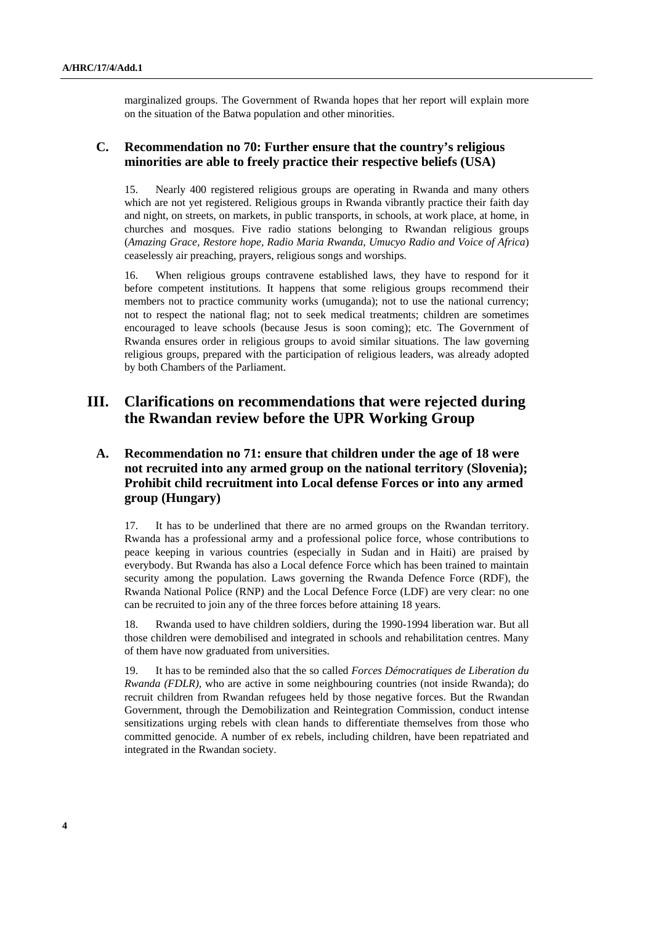marginalized groups. The Government of Rwanda hopes that her report will explain more on the situation of the Batwa population and other minorities.

### **C. Recommendation no 70: Further ensure that the country's religious minorities are able to freely practice their respective beliefs (USA)**

15. Nearly 400 registered religious groups are operating in Rwanda and many others which are not yet registered. Religious groups in Rwanda vibrantly practice their faith day and night, on streets, on markets, in public transports, in schools, at work place, at home, in churches and mosques. Five radio stations belonging to Rwandan religious groups (*Amazing Grace, Restore hope, Radio Maria Rwanda, Umucyo Radio and Voice of Africa*) ceaselessly air preaching, prayers, religious songs and worships.

16. When religious groups contravene established laws, they have to respond for it before competent institutions. It happens that some religious groups recommend their members not to practice community works (umuganda); not to use the national currency; not to respect the national flag; not to seek medical treatments; children are sometimes encouraged to leave schools (because Jesus is soon coming); etc. The Government of Rwanda ensures order in religious groups to avoid similar situations. The law governing religious groups, prepared with the participation of religious leaders, was already adopted by both Chambers of the Parliament.

## **III. Clarifications on recommendations that were rejected during the Rwandan review before the UPR Working Group**

## **A. Recommendation no 71: ensure that children under the age of 18 were not recruited into any armed group on the national territory (Slovenia); Prohibit child recruitment into Local defense Forces or into any armed group (Hungary)**

17. It has to be underlined that there are no armed groups on the Rwandan territory. Rwanda has a professional army and a professional police force, whose contributions to peace keeping in various countries (especially in Sudan and in Haiti) are praised by everybody. But Rwanda has also a Local defence Force which has been trained to maintain security among the population. Laws governing the Rwanda Defence Force (RDF), the Rwanda National Police (RNP) and the Local Defence Force (LDF) are very clear: no one can be recruited to join any of the three forces before attaining 18 years.

18. Rwanda used to have children soldiers, during the 1990-1994 liberation war. But all those children were demobilised and integrated in schools and rehabilitation centres. Many of them have now graduated from universities.

19. It has to be reminded also that the so called *Forces Démocratiques de Liberation du Rwanda (FDLR),* who are active in some neighbouring countries (not inside Rwanda); do recruit children from Rwandan refugees held by those negative forces. But the Rwandan Government, through the Demobilization and Reintegration Commission, conduct intense sensitizations urging rebels with clean hands to differentiate themselves from those who committed genocide. A number of ex rebels, including children, have been repatriated and integrated in the Rwandan society.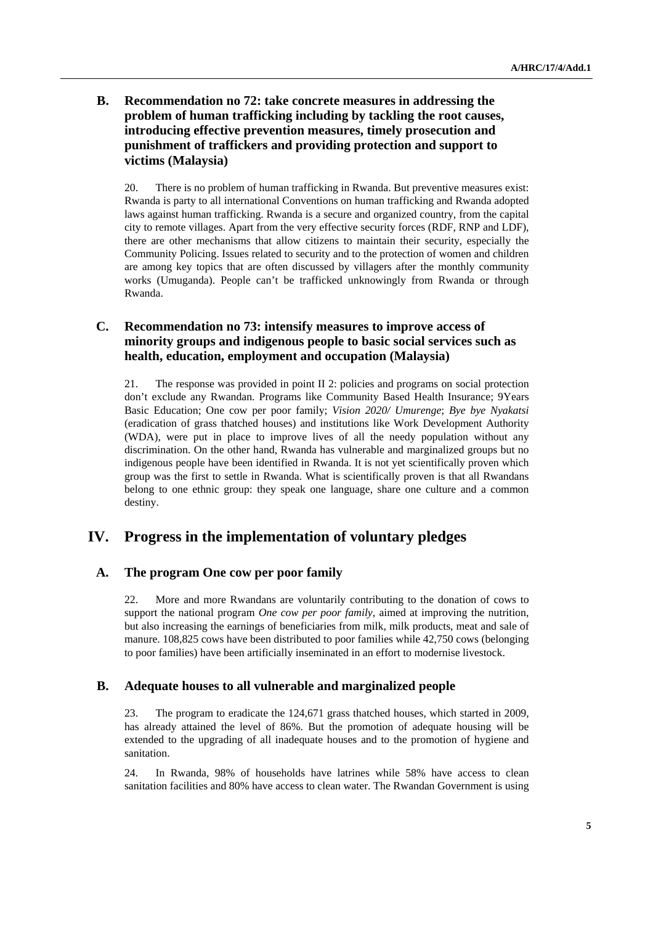### **B. Recommendation no 72: take concrete measures in addressing the problem of human trafficking including by tackling the root causes, introducing effective prevention measures, timely prosecution and punishment of traffickers and providing protection and support to victims (Malaysia)**

20. There is no problem of human trafficking in Rwanda. But preventive measures exist: Rwanda is party to all international Conventions on human trafficking and Rwanda adopted laws against human trafficking. Rwanda is a secure and organized country, from the capital city to remote villages. Apart from the very effective security forces (RDF, RNP and LDF), there are other mechanisms that allow citizens to maintain their security, especially the Community Policing. Issues related to security and to the protection of women and children are among key topics that are often discussed by villagers after the monthly community works (Umuganda). People can't be trafficked unknowingly from Rwanda or through Rwanda.

### **C. Recommendation no 73: intensify measures to improve access of minority groups and indigenous people to basic social services such as health, education, employment and occupation (Malaysia)**

21. The response was provided in point II 2: policies and programs on social protection don't exclude any Rwandan. Programs like Community Based Health Insurance; 9Years Basic Education; One cow per poor family; *Vision 2020/ Umurenge*; *Bye bye Nyakatsi* (eradication of grass thatched houses) and institutions like Work Development Authority (WDA), were put in place to improve lives of all the needy population without any discrimination. On the other hand, Rwanda has vulnerable and marginalized groups but no indigenous people have been identified in Rwanda. It is not yet scientifically proven which group was the first to settle in Rwanda. What is scientifically proven is that all Rwandans belong to one ethnic group: they speak one language, share one culture and a common destiny.

# **IV. Progress in the implementation of voluntary pledges**

### **A. The program One cow per poor family**

22. More and more Rwandans are voluntarily contributing to the donation of cows to support the national program *One cow per poor family,* aimed at improving the nutrition, but also increasing the earnings of beneficiaries from milk, milk products, meat and sale of manure. 108,825 cows have been distributed to poor families while 42,750 cows (belonging to poor families) have been artificially inseminated in an effort to modernise livestock.

#### **B. Adequate houses to all vulnerable and marginalized people**

23. The program to eradicate the 124,671 grass thatched houses, which started in 2009, has already attained the level of 86%. But the promotion of adequate housing will be extended to the upgrading of all inadequate houses and to the promotion of hygiene and sanitation.

24. In Rwanda, 98% of households have latrines while 58% have access to clean sanitation facilities and 80% have access to clean water. The Rwandan Government is using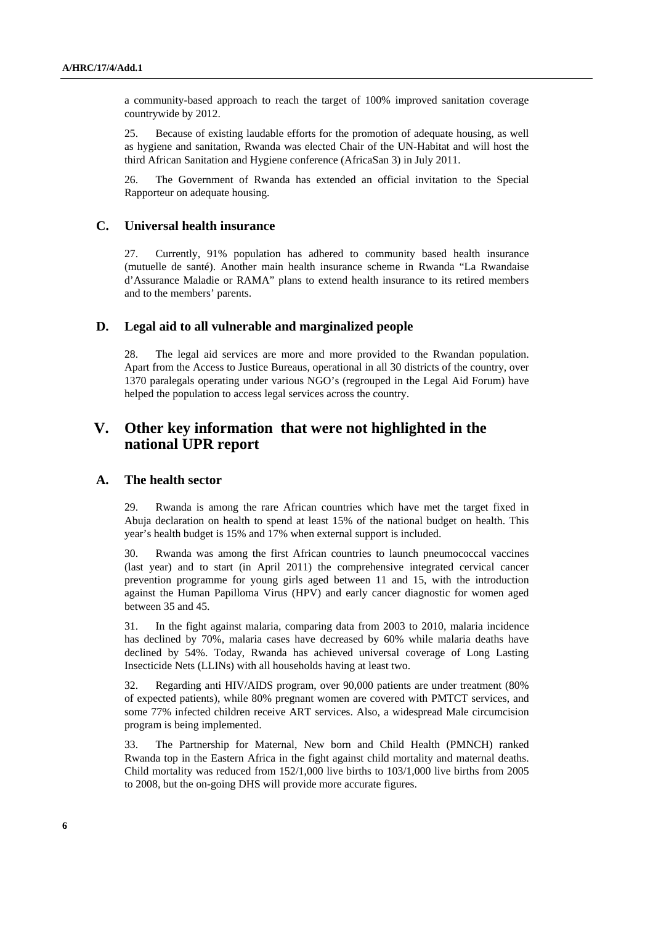a community-based approach to reach the target of 100% improved sanitation coverage countrywide by 2012.

25. Because of existing laudable efforts for the promotion of adequate housing, as well as hygiene and sanitation, Rwanda was elected Chair of the UN-Habitat and will host the third African Sanitation and Hygiene conference (AfricaSan 3) in July 2011.

26. The Government of Rwanda has extended an official invitation to the Special Rapporteur on adequate housing.

### **C. Universal health insurance**

27. Currently, 91% population has adhered to community based health insurance (mutuelle de santé). Another main health insurance scheme in Rwanda "La Rwandaise d'Assurance Maladie or RAMA" plans to extend health insurance to its retired members and to the members' parents.

#### **D. Legal aid to all vulnerable and marginalized people**

28. The legal aid services are more and more provided to the Rwandan population. Apart from the Access to Justice Bureaus, operational in all 30 districts of the country, over 1370 paralegals operating under various NGO's (regrouped in the Legal Aid Forum) have helped the population to access legal services across the country.

## **V. Other key information that were not highlighted in the national UPR report**

#### **A. The health sector**

29. Rwanda is among the rare African countries which have met the target fixed in Abuja declaration on health to spend at least 15% of the national budget on health. This year's health budget is 15% and 17% when external support is included.

30. Rwanda was among the first African countries to launch pneumococcal vaccines (last year) and to start (in April 2011) the comprehensive integrated cervical cancer prevention programme for young girls aged between 11 and 15, with the introduction against the Human Papilloma Virus (HPV) and early cancer diagnostic for women aged between 35 and 45.

31. In the fight against malaria, comparing data from 2003 to 2010, malaria incidence has declined by 70%, malaria cases have decreased by 60% while malaria deaths have declined by 54%. Today, Rwanda has achieved universal coverage of Long Lasting Insecticide Nets (LLINs) with all households having at least two.

32. Regarding anti HIV/AIDS program, over 90,000 patients are under treatment (80% of expected patients), while 80% pregnant women are covered with PMTCT services, and some 77% infected children receive ART services. Also, a widespread Male circumcision program is being implemented.

33. The Partnership for Maternal, New born and Child Health (PMNCH) ranked Rwanda top in the Eastern Africa in the fight against child mortality and maternal deaths. Child mortality was reduced from 152/1,000 live births to 103/1,000 live births from 2005 to 2008, but the on-going DHS will provide more accurate figures.